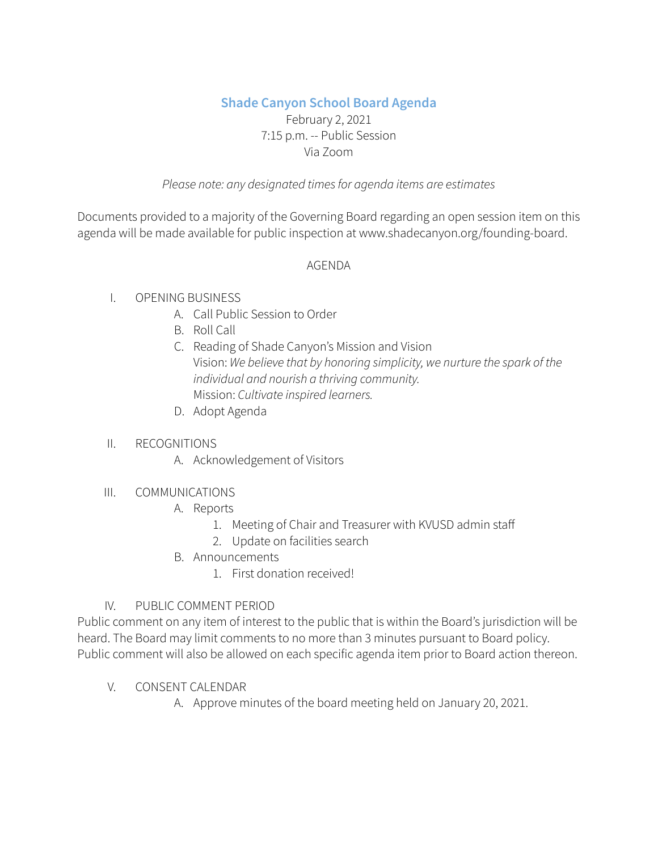# **Shade Canyon School Board Agenda**

## February 2, 2021 7:15 p.m. -- Public Session Via Zoom

## *Please note: any designated timesfor agenda items are estimates*

Documents provided to a majority of the Governing Board regarding an open session item on this agenda will be made available for public inspection at www.shadecanyon.org/founding-board.

#### AGENDA

## I. OPENING BUSINESS

- A. Call Public Session to Order
- B. Roll Call
- C. Reading of Shade Canyon's Mission and Vision Vision: *We believe that by honoring simplicity, we nurture the spark of the individual and nourish a thriving community.* Mission: *Cultivate inspired learners.*
- D. Adopt Agenda

## II. RECOGNITIONS

A. Acknowledgement of Visitors

## III. COMMUNICATIONS

- A. Reports
	- 1. Meeting of Chair and Treasurer with KVUSD admin staff
	- 2. Update on facilities search
- B. Announcements
	- 1. First donation received!

## IV. PUBLIC COMMENT PERIOD

Public comment on any item of interest to the public that is within the Board's jurisdiction will be heard. The Board may limit comments to no more than 3 minutes pursuant to Board policy. Public comment will also be allowed on each specific agenda item prior to Board action thereon.

## V. CONSENT CALENDAR

A. Approve minutes of the board meeting held on January 20, 2021.